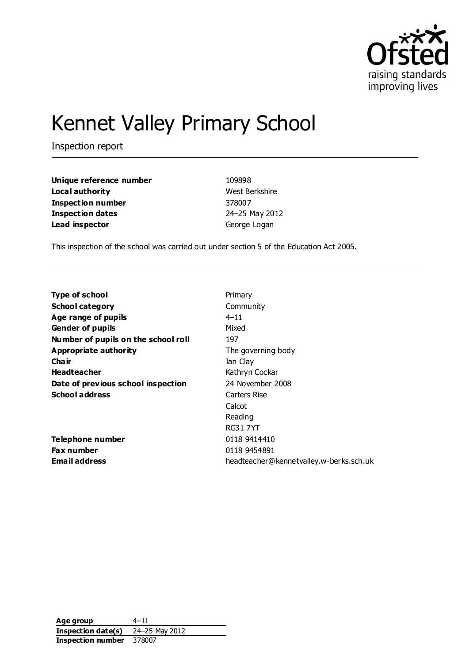

# Kennet Valley Primary School

Inspection report

| Unique reference number  | 109898         |
|--------------------------|----------------|
| Local authority          | West Berkshire |
| <b>Inspection number</b> | 378007         |
| <b>Inspection dates</b>  | 24-25 May 2012 |
| Lead inspector           | George Logan   |

This inspection of the school was carried out under section 5 of the Education Act 2005.

| Type of school                      | Primary                                 |
|-------------------------------------|-----------------------------------------|
| <b>School category</b>              | Community                               |
| Age range of pupils                 | $4 - 11$                                |
| <b>Gender of pupils</b>             | Mixed                                   |
| Number of pupils on the school roll | 197                                     |
| Appropriate authority               | The governing body                      |
| Cha ir                              | Ian Clay                                |
| <b>Headteacher</b>                  | Kathryn Cockar                          |
| Date of previous school inspection  | 24 November 2008                        |
| <b>School address</b>               | Carters Rise                            |
|                                     | Calcot                                  |
|                                     | Reading                                 |
|                                     | RG317YT                                 |
| Telephone number                    | 0118 9414410                            |
| <b>Fax number</b>                   | 0118 9454891                            |
| <b>Email address</b>                | headteacher@kennetvalley.w-berks.sch.uk |

**Age group** 4–11 **Inspection date(s)** 24–25 May 2012 **Inspection number** 378007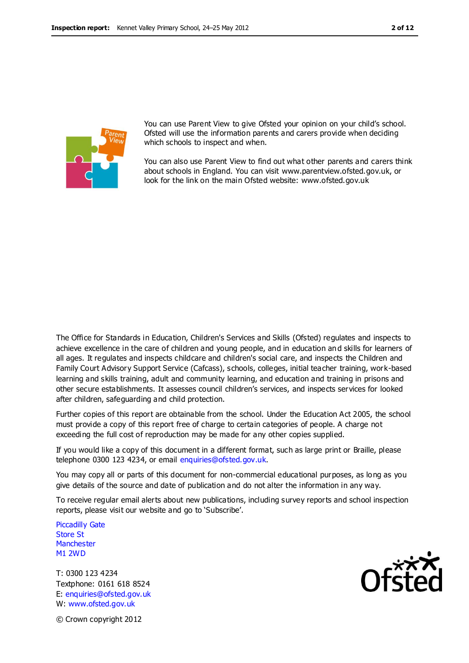

You can use Parent View to give Ofsted your opinion on your child's school. Ofsted will use the information parents and carers provide when deciding which schools to inspect and when.

You can also use Parent View to find out what other parents and carers think about schools in England. You can visit www.parentview.ofsted.gov.uk, or look for the link on the main Ofsted website: www.ofsted.gov.uk

The Office for Standards in Education, Children's Services and Skills (Ofsted) regulates and inspects to achieve excellence in the care of children and young people, and in education an d skills for learners of all ages. It regulates and inspects childcare and children's social care, and inspects the Children and Family Court Advisory Support Service (Cafcass), schools, colleges, initial teacher training, work-based learning and skills training, adult and community learning, and education and training in prisons and other secure establishments. It assesses council children's services, and inspects services for looked after children, safeguarding and child protection.

Further copies of this report are obtainable from the school. Under the Education Act 2005, the school must provide a copy of this report free of charge to certain categories of people. A charge not exceeding the full cost of reproduction may be made for any other copies supplied.

If you would like a copy of this document in a different format, such as large print or Braille, please telephone 0300 123 4234, or email enquiries@ofsted.gov.uk.

You may copy all or parts of this document for non-commercial educational purposes, as long as you give details of the source and date of publication and do not alter the information in any way.

To receive regular email alerts about new publications, including survey reports and school inspection reports, please visit our website and go to 'Subscribe'.

Piccadilly Gate Store St **Manchester** M1 2WD

T: 0300 123 4234 Textphone: 0161 618 8524 E: enquiries@ofsted.gov.uk W: www.ofsted.gov.uk



© Crown copyright 2012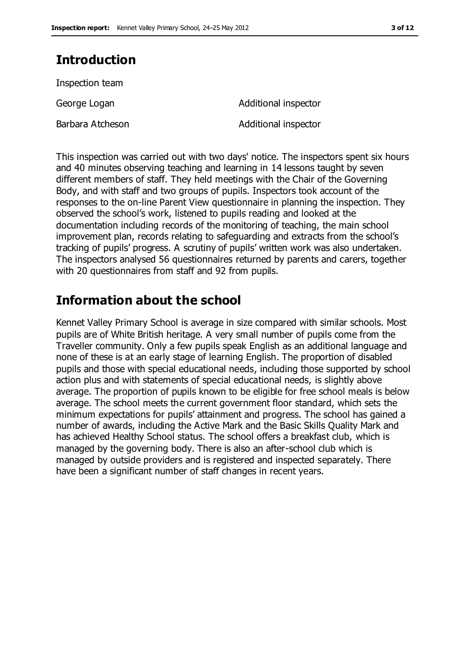# **Introduction**

Inspection team

Barbara Atcheson **Additional inspector** 

George Logan **Additional** inspector

This inspection was carried out with two days' notice. The inspectors spent six hours and 40 minutes observing teaching and learning in 14 lessons taught by seven different members of staff. They held meetings with the Chair of the Governing Body, and with staff and two groups of pupils. Inspectors took account of the responses to the on-line Parent View questionnaire in planning the inspection. They observed the school's work, listened to pupils reading and looked at the documentation including records of the monitoring of teaching, the main school improvement plan, records relating to safeguarding and extracts from the school's tracking of pupils' progress. A scrutiny of pupils' written work was also undertaken. The inspectors analysed 56 questionnaires returned by parents and carers, together with 20 questionnaires from staff and 92 from pupils.

# **Information about the school**

Kennet Valley Primary School is average in size compared with similar schools. Most pupils are of White British heritage. A very small number of pupils come from the Traveller community. Only a few pupils speak English as an additional language and none of these is at an early stage of learning English. The proportion of disabled pupils and those with special educational needs, including those supported by school action plus and with statements of special educational needs, is slightly above average. The proportion of pupils known to be eligible for free school meals is below average. The school meets the current government floor standard, which sets the minimum expectations for pupils' attainment and progress. The school has gained a number of awards, including the Active Mark and the Basic Skills Quality Mark and has achieved Healthy School status. The school offers a breakfast club, which is managed by the governing body. There is also an after-school club which is managed by outside providers and is registered and inspected separately. There have been a significant number of staff changes in recent years.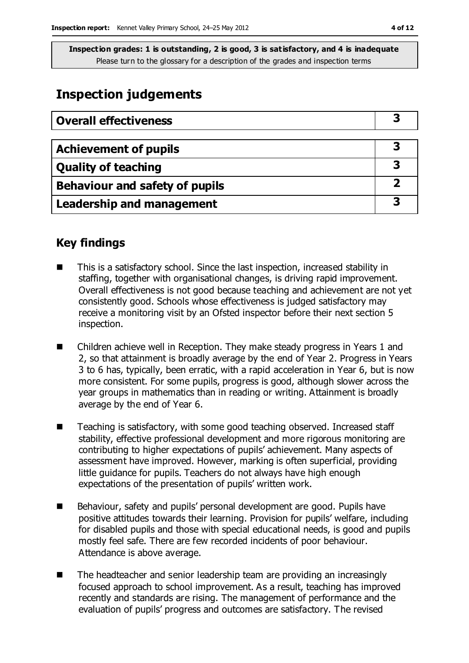# **Inspection judgements**

| <b>Overall effectiveness</b>     |  |
|----------------------------------|--|
|                                  |  |
| <b>Achievement of pupils</b>     |  |
| <b>Quality of teaching</b>       |  |
| Behaviour and safety of pupils   |  |
| <b>Leadership and management</b> |  |

### **Key findings**

- This is a satisfactory school. Since the last inspection, increased stability in staffing, together with organisational changes, is driving rapid improvement. Overall effectiveness is not good because teaching and achievement are not yet consistently good. Schools whose effectiveness is judged satisfactory may receive a monitoring visit by an Ofsted inspector before their next section 5 inspection.
- Children achieve well in Reception. They make steady progress in Years 1 and 2, so that attainment is broadly average by the end of Year 2. Progress in Years 3 to 6 has, typically, been erratic, with a rapid acceleration in Year 6, but is now more consistent. For some pupils, progress is good, although slower across the year groups in mathematics than in reading or writing. Attainment is broadly average by the end of Year 6.
- Teaching is satisfactory, with some good teaching observed. Increased staff stability, effective professional development and more rigorous monitoring are contributing to higher expectations of pupils' achievement. Many aspects of assessment have improved. However, marking is often superficial, providing little guidance for pupils. Teachers do not always have high enough expectations of the presentation of pupils' written work.
- Behaviour, safety and pupils' personal development are good. Pupils have positive attitudes towards their learning. Provision for pupils' welfare, including for disabled pupils and those with special educational needs, is good and pupils mostly feel safe. There are few recorded incidents of poor behaviour. Attendance is above average.
- The headteacher and senior leadership team are providing an increasingly focused approach to school improvement. As a result, teaching has improved recently and standards are rising. The management of performance and the evaluation of pupils' progress and outcomes are satisfactory. The revised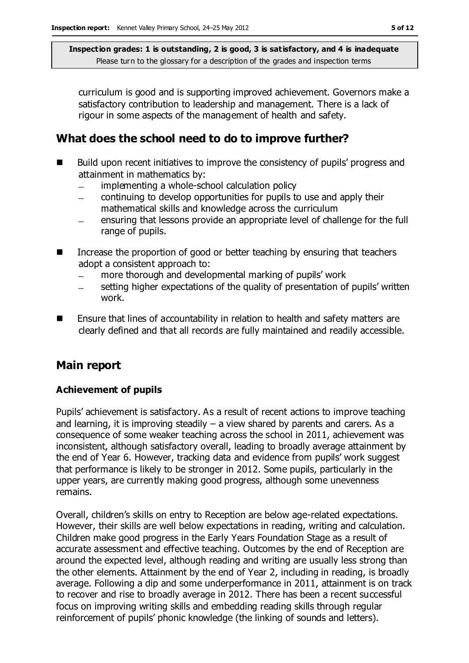curriculum is good and is supporting improved achievement. Governors make a satisfactory contribution to leadership and management. There is a lack of rigour in some aspects of the management of health and safety.

## **What does the school need to do to improve further?**

- Build upon recent initiatives to improve the consistency of pupils' progress and attainment in mathematics by:
	- implementing a whole-school calculation policy  $\equiv$
	- continuing to develop opportunities for pupils to use and apply their mathematical skills and knowledge across the curriculum
	- ensuring that lessons provide an appropriate level of challenge for the full range of pupils.
- Increase the proportion of good or better teaching by ensuring that teachers adopt a consistent approach to:
	- more thorough and developmental marking of pupils' work
	- setting higher expectations of the quality of presentation of pupils' written work.
- **E** Ensure that lines of accountability in relation to health and safety matters are clearly defined and that all records are fully maintained and readily accessible.

### **Main report**

#### **Achievement of pupils**

Pupils' achievement is satisfactory. As a result of recent actions to improve teaching and learning, it is improving steadily  $-$  a view shared by parents and carers. As a consequence of some weaker teaching across the school in 2011, achievement was inconsistent, although satisfactory overall, leading to broadly average attainment by the end of Year 6. However, tracking data and evidence from pupils' work suggest that performance is likely to be stronger in 2012. Some pupils, particularly in the upper years, are currently making good progress, although some unevenness remains.

Overall, children's skills on entry to Reception are below age-related expectations. However, their skills are well below expectations in reading, writing and calculation. Children make good progress in the Early Years Foundation Stage as a result of accurate assessment and effective teaching. Outcomes by the end of Reception are around the expected level, although reading and writing are usually less strong than the other elements. Attainment by the end of Year 2, including in reading, is broadly average. Following a dip and some underperformance in 2011, attainment is on track to recover and rise to broadly average in 2012. There has been a recent successful focus on improving writing skills and embedding reading skills through regular reinforcement of pupils' phonic knowledge (the linking of sounds and letters).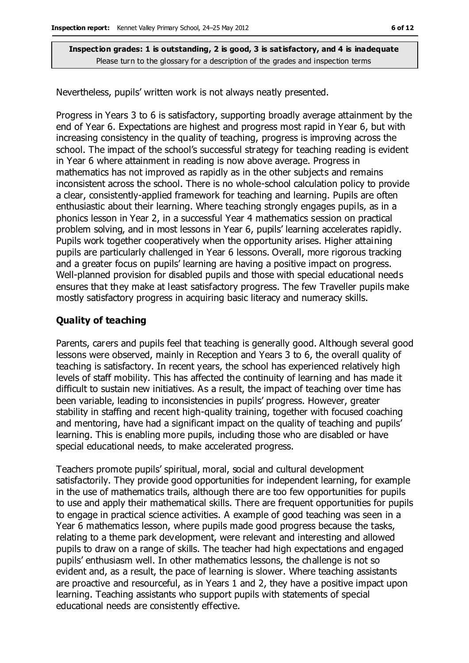Nevertheless, pupils' written work is not always neatly presented.

Progress in Years 3 to 6 is satisfactory, supporting broadly average attainment by the end of Year 6. Expectations are highest and progress most rapid in Year 6, but with increasing consistency in the quality of teaching, progress is improving across the school. The impact of the school's successful strategy for teaching reading is evident in Year 6 where attainment in reading is now above average. Progress in mathematics has not improved as rapidly as in the other subjects and remains inconsistent across the school. There is no whole-school calculation policy to provide a clear, consistently-applied framework for teaching and learning. Pupils are often enthusiastic about their learning. Where teaching strongly engages pupils, as in a phonics lesson in Year 2, in a successful Year 4 mathematics session on practical problem solving, and in most lessons in Year 6, pupils' learning accelerates rapidly. Pupils work together cooperatively when the opportunity arises. Higher attaining pupils are particularly challenged in Year 6 lessons. Overall, more rigorous tracking and a greater focus on pupils' learning are having a positive impact on progress. Well-planned provision for disabled pupils and those with special educational needs ensures that they make at least satisfactory progress. The few Traveller pupils make mostly satisfactory progress in acquiring basic literacy and numeracy skills.

#### **Quality of teaching**

Parents, carers and pupils feel that teaching is generally good. Although several good lessons were observed, mainly in Reception and Years 3 to 6, the overall quality of teaching is satisfactory. In recent years, the school has experienced relatively high levels of staff mobility. This has affected the continuity of learning and has made it difficult to sustain new initiatives. As a result, the impact of teaching over time has been variable, leading to inconsistencies in pupils' progress. However, greater stability in staffing and recent high-quality training, together with focused coaching and mentoring, have had a significant impact on the quality of teaching and pupils' learning. This is enabling more pupils, including those who are disabled or have special educational needs, to make accelerated progress.

Teachers promote pupils' spiritual, moral, social and cultural development satisfactorily. They provide good opportunities for independent learning, for example in the use of mathematics trails, although there are too few opportunities for pupils to use and apply their mathematical skills. There are frequent opportunities for pupils to engage in practical science activities. A example of good teaching was seen in a Year 6 mathematics lesson, where pupils made good progress because the tasks, relating to a theme park development, were relevant and interesting and allowed pupils to draw on a range of skills. The teacher had high expectations and engaged pupils' enthusiasm well. In other mathematics lessons, the challenge is not so evident and, as a result, the pace of learning is slower. Where teaching assistants are proactive and resourceful, as in Years 1 and 2, they have a positive impact upon learning. Teaching assistants who support pupils with statements of special educational needs are consistently effective.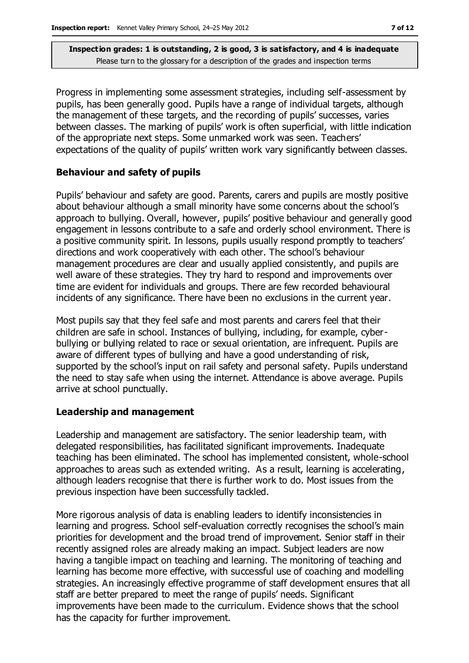Progress in implementing some assessment strategies, including self-assessment by pupils, has been generally good. Pupils have a range of individual targets, although the management of these targets, and the recording of pupils' successes, varies between classes. The marking of pupils' work is often superficial, with little indication of the appropriate next steps. Some unmarked work was seen. Teachers' expectations of the quality of pupils' written work vary significantly between classes.

#### **Behaviour and safety of pupils**

Pupils' behaviour and safety are good. Parents, carers and pupils are mostly positive about behaviour although a small minority have some concerns about the school's approach to bullying. Overall, however, pupils' positive behaviour and generally good engagement in lessons contribute to a safe and orderly school environment. There is a positive community spirit. In lessons, pupils usually respond promptly to teachers' directions and work cooperatively with each other. The school's behaviour management procedures are clear and usually applied consistently, and pupils are well aware of these strategies. They try hard to respond and improvements over time are evident for individuals and groups. There are few recorded behavioural incidents of any significance. There have been no exclusions in the current year.

Most pupils say that they feel safe and most parents and carers feel that their children are safe in school. Instances of bullying, including, for example, cyberbullying or bullying related to race or sexual orientation, are infrequent. Pupils are aware of different types of bullying and have a good understanding of risk, supported by the school's input on rail safety and personal safety. Pupils understand the need to stay safe when using the internet. Attendance is above average. Pupils arrive at school punctually.

#### **Leadership and management**

Leadership and management are satisfactory. The senior leadership team, with delegated responsibilities, has facilitated significant improvements. Inadequate teaching has been eliminated. The school has implemented consistent, whole-school approaches to areas such as extended writing. As a result, learning is accelerating, although leaders recognise that there is further work to do. Most issues from the previous inspection have been successfully tackled.

More rigorous analysis of data is enabling leaders to identify inconsistencies in learning and progress. School self-evaluation correctly recognises the school's main priorities for development and the broad trend of improvement. Senior staff in their recently assigned roles are already making an impact. Subject leaders are now having a tangible impact on teaching and learning. The monitoring of teaching and learning has become more effective, with successful use of coaching and modelling strategies. An increasingly effective programme of staff development ensures that all staff are better prepared to meet the range of pupils' needs. Significant improvements have been made to the curriculum. Evidence shows that the school has the capacity for further improvement.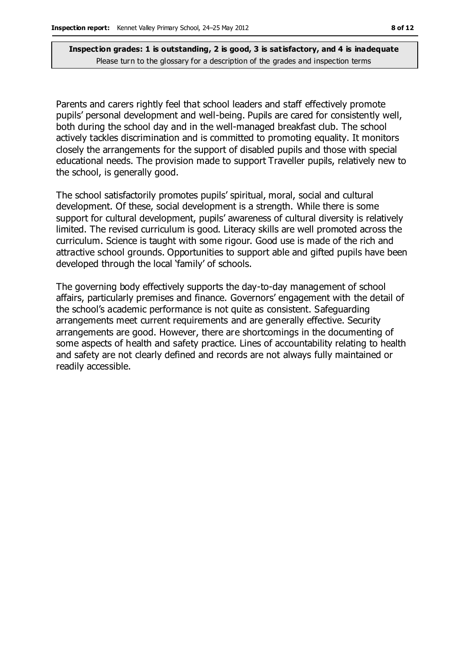Parents and carers rightly feel that school leaders and staff effectively promote pupils' personal development and well-being. Pupils are cared for consistently well, both during the school day and in the well-managed breakfast club. The school actively tackles discrimination and is committed to promoting equality. It monitors closely the arrangements for the support of disabled pupils and those with special educational needs. The provision made to support Traveller pupils, relatively new to the school, is generally good.

The school satisfactorily promotes pupils' spiritual, moral, social and cultural development. Of these, social development is a strength. While there is some support for cultural development, pupils' awareness of cultural diversity is relatively limited. The revised curriculum is good. Literacy skills are well promoted across the curriculum. Science is taught with some rigour. Good use is made of the rich and attractive school grounds. Opportunities to support able and gifted pupils have been developed through the local 'family' of schools.

The governing body effectively supports the day-to-day management of school affairs, particularly premises and finance. Governors' engagement with the detail of the school's academic performance is not quite as consistent. Safeguarding arrangements meet current requirements and are generally effective. Security arrangements are good. However, there are shortcomings in the documenting of some aspects of health and safety practice. Lines of accountability relating to health and safety are not clearly defined and records are not always fully maintained or readily accessible.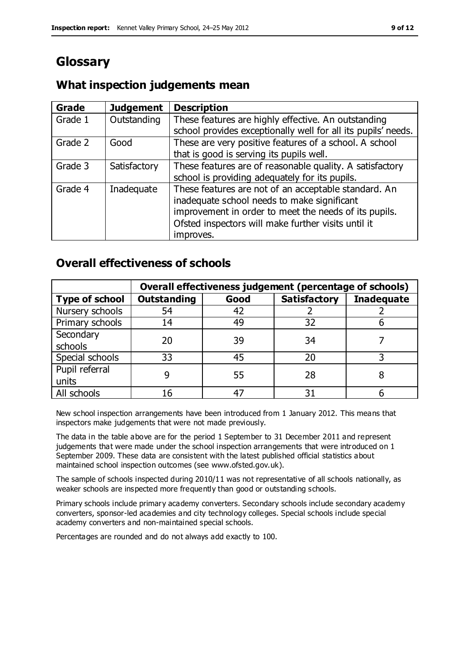# **Glossary**

#### **Grade Judgement Description** Grade  $1$  | Outstanding | These features are highly effective. An outstanding school provides exceptionally well for all its pupils' needs. Grade 2 Good These are very positive features of a school. A school that is good is serving its pupils well. Grade 3  $\parallel$  Satisfactory  $\parallel$  These features are of reasonable quality. A satisfactory school is providing adequately for its pupils. Grade 4  $\parallel$  Inadequate  $\parallel$  These features are not of an acceptable standard. An inadequate school needs to make significant improvement in order to meet the needs of its pupils. Ofsted inspectors will make further visits until it improves.

## **What inspection judgements mean**

### **Overall effectiveness of schools**

|                       | Overall effectiveness judgement (percentage of schools) |      |                     |                   |
|-----------------------|---------------------------------------------------------|------|---------------------|-------------------|
| <b>Type of school</b> | <b>Outstanding</b>                                      | Good | <b>Satisfactory</b> | <b>Inadequate</b> |
| Nursery schools       | 54                                                      | 42   |                     |                   |
| Primary schools       | 14                                                      | 49   | 32                  |                   |
| Secondary             | 20                                                      | 39   | 34                  |                   |
| schools               |                                                         |      |                     |                   |
| Special schools       | 33                                                      | 45   | 20                  |                   |
| Pupil referral        |                                                         | 55   | 28                  |                   |
| units                 |                                                         |      |                     |                   |
| All schools           |                                                         |      |                     |                   |

New school inspection arrangements have been introduced from 1 January 2012. This means that inspectors make judgements that were not made previously.

The data in the table above are for the period 1 September to 31 December 2011 and represent judgements that were made under the school inspection arrangements that were introduced on 1 September 2009. These data are consistent with the latest published official statistics about maintained school inspection outcomes (see www.ofsted.gov.uk).

The sample of schools inspected during 2010/11 was not representative of all schools nationally, as weaker schools are inspected more frequently than good or outstanding schools.

Primary schools include primary academy converters. Secondary schools include secondary academy converters, sponsor-led academies and city technology colleges. Special schools include special academy converters and non-maintained special schools.

Percentages are rounded and do not always add exactly to 100.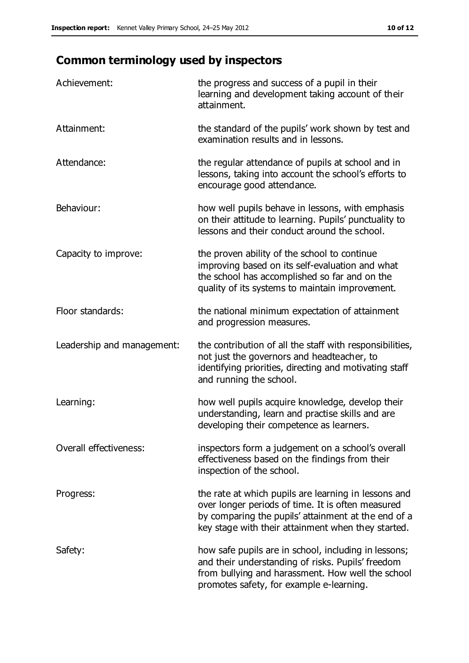# **Common terminology used by inspectors**

| Achievement:                  | the progress and success of a pupil in their<br>learning and development taking account of their<br>attainment.                                                                                                        |
|-------------------------------|------------------------------------------------------------------------------------------------------------------------------------------------------------------------------------------------------------------------|
| Attainment:                   | the standard of the pupils' work shown by test and<br>examination results and in lessons.                                                                                                                              |
| Attendance:                   | the regular attendance of pupils at school and in<br>lessons, taking into account the school's efforts to<br>encourage good attendance.                                                                                |
| Behaviour:                    | how well pupils behave in lessons, with emphasis<br>on their attitude to learning. Pupils' punctuality to<br>lessons and their conduct around the school.                                                              |
| Capacity to improve:          | the proven ability of the school to continue<br>improving based on its self-evaluation and what<br>the school has accomplished so far and on the<br>quality of its systems to maintain improvement.                    |
| Floor standards:              | the national minimum expectation of attainment<br>and progression measures.                                                                                                                                            |
| Leadership and management:    | the contribution of all the staff with responsibilities,<br>not just the governors and headteacher, to<br>identifying priorities, directing and motivating staff<br>and running the school.                            |
| Learning:                     | how well pupils acquire knowledge, develop their<br>understanding, learn and practise skills and are<br>developing their competence as learners.                                                                       |
| <b>Overall effectiveness:</b> | inspectors form a judgement on a school's overall<br>effectiveness based on the findings from their<br>inspection of the school.                                                                                       |
| Progress:                     | the rate at which pupils are learning in lessons and<br>over longer periods of time. It is often measured<br>by comparing the pupils' attainment at the end of a<br>key stage with their attainment when they started. |
| Safety:                       | how safe pupils are in school, including in lessons;<br>and their understanding of risks. Pupils' freedom<br>from bullying and harassment. How well the school<br>promotes safety, for example e-learning.             |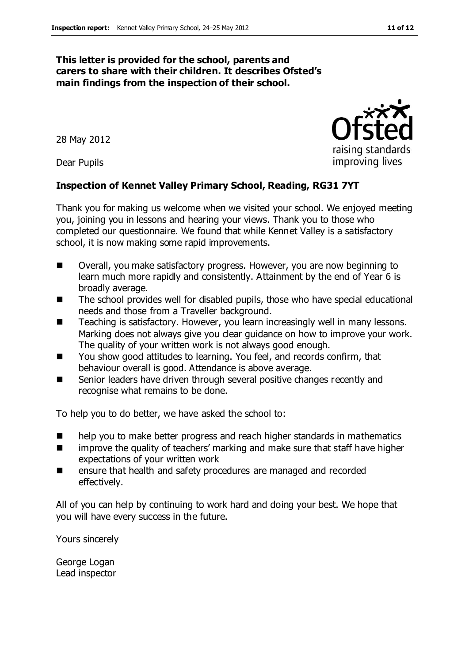#### **This letter is provided for the school, parents and carers to share with their children. It describes Ofsted's main findings from the inspection of their school.**

28 May 2012

Dear Pupils

#### **Inspection of Kennet Valley Primary School, Reading, RG31 7YT**

Thank you for making us welcome when we visited your school. We enjoyed meeting you, joining you in lessons and hearing your views. Thank you to those who completed our questionnaire. We found that while Kennet Valley is a satisfactory school, it is now making some rapid improvements.

- Overall, you make satisfactory progress. However, you are now beginning to learn much more rapidly and consistently. Attainment by the end of Year 6 is broadly average.
- The school provides well for disabled pupils, those who have special educational needs and those from a Traveller background.
- Teaching is satisfactory. However, you learn increasingly well in many lessons. Marking does not always give you clear guidance on how to improve your work. The quality of your written work is not always good enough.
- You show good attitudes to learning. You feel, and records confirm, that behaviour overall is good. Attendance is above average.
- Senior leaders have driven through several positive changes recently and recognise what remains to be done.

To help you to do better, we have asked the school to:

- help you to make better progress and reach higher standards in mathematics
- **IF** improve the quality of teachers' marking and make sure that staff have higher expectations of your written work
- ensure that health and safety procedures are managed and recorded effectively.

All of you can help by continuing to work hard and doing your best. We hope that you will have every success in the future.

Yours sincerely

George Logan Lead inspector